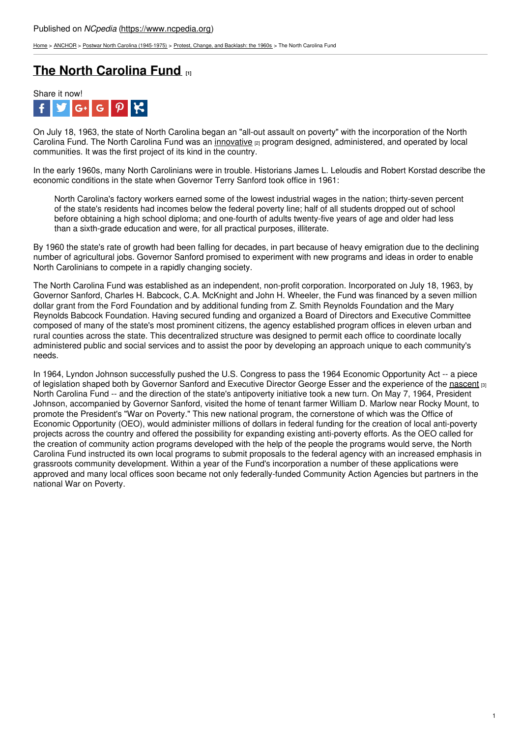[Home](https://www.ncpedia.org/) > [ANCHOR](https://www.ncpedia.org/anchor/anchor) > Postwar North Carolina [\(1945-1975\)](https://www.ncpedia.org/anchor/postwar-north-carolina-1945) > Protest, Change, and [Backlash:](https://www.ncpedia.org/anchor/protest-change-and-backlash) the 1960s > The North Carolina Fund

## **The North [Carolina](https://www.ncpedia.org/anchor/north-carolina-fund) Fund [1]**



On July 18, 1963, the state of North Carolina began an "all-out assault on poverty" with the incorporation of the North Carolina Fund. The North Carolina Fund was an [innovative](https://www.ncpedia.org/glossary/innovative) [2] program designed, administered, and operated by local communities. It was the first project of its kind in the country.

In the early 1960s, many North Carolinians were in trouble. Historians James L. Leloudis and Robert Korstad describe the economic conditions in the state when Governor Terry Sanford took office in 1961:

North Carolina's factory workers earned some of the lowest industrial wages in the nation; thirty-seven percent of the state's residents had incomes below the federal poverty line; half of all students dropped out of school before obtaining a high school diploma; and one-fourth of adults twenty-five years of age and older had less than a sixth-grade education and [were,](http://www.social9.com) for all practical purposes, illiterate.

By 1960 the state's rate of growth had been falling for decades, in part because of heavy emigration due to the declining number of agricultural jobs. Governor Sanford promised to experiment with new programs and ideas in order to enable North Carolinians to compete in a rapidly changing society.

The North Carolina Fund was established as an independent, non-profit corporation. Incorporated on July 18, 1963, by Governor Sanford, Charles H. Babcock, C.A. McKnight and John H. Wheeler, the Fund was financed by a seven million dollar grant from the Ford Foundation and by additional funding from Z. Smith Reynolds Foundation and the Mary Reynolds Babcock Foundation. Having secured funding and organized a Board of Directors and Executive Committee composed of many of the state's most prominent citizens, the agency established program offices in eleven urban and rural counties across the state. This decentralized structure was designed to permit each office to coordinate locally administered public and social services and to assist the poor by developing an approach unique to each community's needs.

In 1964, Lyndon Johnson successfully pushed the U.S. Congress to pass the 1964 Economic Opportunity Act -- a piece of legislation shaped both by Governor Sanford and Executive Director George Esser and the experience of the [nascent](https://www.ncpedia.org/glossary/nascent) [3] North Carolina Fund -- and the direction of the state's antipoverty initiative took a new turn. On May 7, 1964, President Johnson, accompanied by Governor Sanford, visited the home of tenant farmer William D. Marlow near Rocky Mount, to promote the President's "War on Poverty." This new national program, the cornerstone of which was the Office of Economic Opportunity (OEO), would administer millions of dollars in federal funding for the creation of local anti-poverty projects across the country and offered the possibility for expanding existing anti-poverty efforts. As the OEO called for the creation of community action programs developed with the help of the people the programs would serve, the North Carolina Fund instructed its own local programs to submit proposals to the federal agency with an increased emphasis in grassroots community development. Within a year of the Fund's incorporation a number of these applications were approved and many local offices soon became not only federally-funded Community Action Agencies but partners in the national War on Poverty.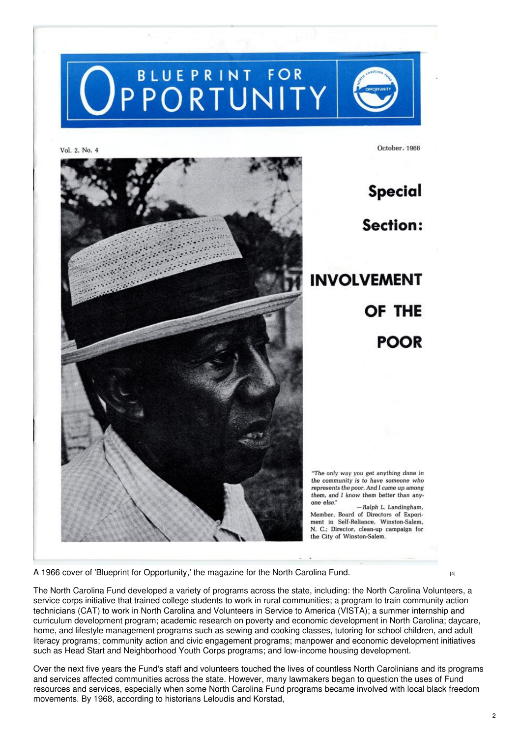

Vol. 2, No. 4



**Special Section: INVOLVEMENT** OF THE **POOR** 

October. 1966

"The only way you get anything done in the community is to have someone who represents the poor. And I came up among them, and I know them better than anyone else."

-Ralph L. Landingham. Member, Board of Directors of Experiment in Self-Reliance. Winston-Salem. N. C.: Director, clean-up campaign for the City of Winston-Salem.

A 1966 cover of 'Blueprint for [Opportunity,'](https://www.ncpedia.org/media/1966-cover-blueprint) the magazine for the North Carolina Fund.

The North Carolina Fund developed a variety of programs across the state, including: the North Carolina Volunteers, a service corps initiative that trained college students to work in rural communities; a program to train community action technicians (CAT) to work in North Carolina and Volunteers in Service to America (VISTA); a summer internship and curriculum development program; academic research on poverty and economic development in North Carolina; daycare, home, and lifestyle management programs such as sewing and cooking classes, tutoring for school children, and adult literacy programs; community action and civic engagement programs; manpower and economic development initiatives such as Head Start and Neighborhood Youth Corps programs; and low-income housing development.

Over the next five years the Fund's staff and volunteers touched the lives of countless North Carolinians and its programs and services affected communities across the state. However, many lawmakers began to question the uses of Fund resources and services, especially when some North Carolina Fund programs became involved with local black freedom movements. By 1968, according to historians Leloudis and Korstad,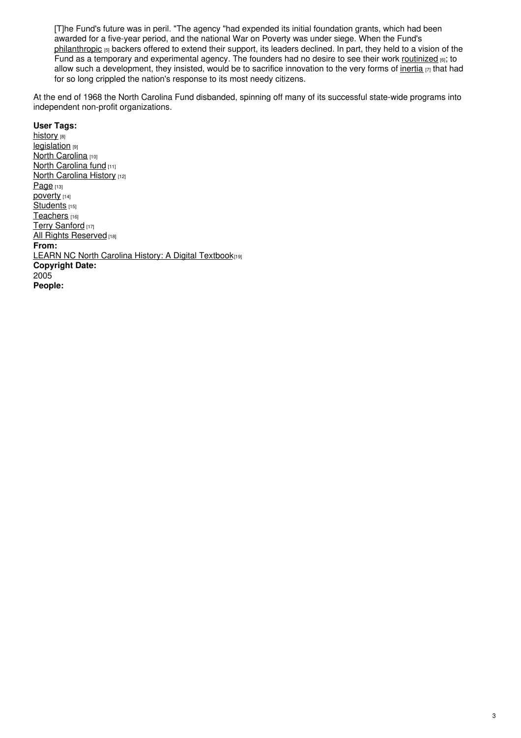[T]he Fund's future was in peril. "The agency "had expended its initial foundation grants, which had been awarded for a five-year period, and the national War on Poverty was under siege. When the Fund's [philanthropic](https://www.ncpedia.org/glossary/philanthropic) [5] backers offered to extend their support, its leaders declined. In part, they held to a vision of the Fund as a temporary and experimental agency. The founders had no desire to see their work [routinized](https://www.ncpedia.org/glossary/routinize) [6]; to allow such a development, they insisted, would be to sacrifice innovation to the very forms of [inertia](https://www.ncpedia.org/glossary/inertia)  $[7]$  that had for so long crippled the nation's response to its most needy citizens.

At the end of 1968 the North Carolina Fund disbanded, spinning off many of its successful state-wide programs into independent non-profit organizations.

## **User Tags:**

[history](https://www.ncpedia.org/category/user-tags/history) [8] **[legislation](https://www.ncpedia.org/category/user-tags/legislation)** [9] North [Carolina](https://www.ncpedia.org/category/user-tags/north-carolina-5) [10] **North [Carolina](https://www.ncpedia.org/category/user-tags/north-14) fund [11]** North [Carolina](https://www.ncpedia.org/category/user-tags/north-carolina-6) History [12] [Page](https://www.ncpedia.org/category/user-tags/page) [13] [poverty](https://www.ncpedia.org/category/user-tags/poverty) [14] [Students](https://www.ncpedia.org/category/user-tags/students) [15] [Teachers](https://www.ncpedia.org/category/user-tags/teachers) [16] Terry [Sanford](https://www.ncpedia.org/category/user-tags/terry-sanford) [17] All Rights [Reserved](https://www.ncpedia.org/category/user-tags/all-rights) [18] **From:** LEARN NC North Carolina History: A Digital [Textbook](https://www.ncpedia.org/category/entry-source/learn-nc)[19] **Copyright Date:** 2005 **People:**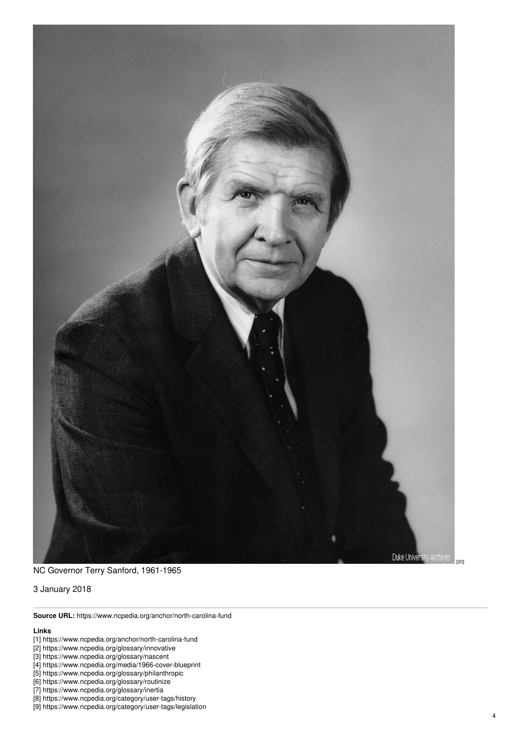

NC Governor Terry Sanford, 1961-1965

3 January 2018

**Source URL:** https://www.ncpedia.org/anchor/north-carolina-fund

## **Lin k s**

- [1] https://www.ncpedia.org/anchor/north-carolina-func d
- [2] https://www.ncpedia.org/glossary/innovative
- [3] https://www.ncpedia.org/glossary/nascent
- [4] https://www.ncpedia.org/media/1966-cover-blueprint
- [5] https://www.ncpedia.org/glossary/philanthropic
- [6] https://www.ncpedia.org/glossary/routinize
- [7] https://www.ncpedia.org/glossary/inertia
- [8] https://www.ncpedia.org/category/user-tags/history
- [9] https://www.ncpedia.org/category/user-tags/legislation